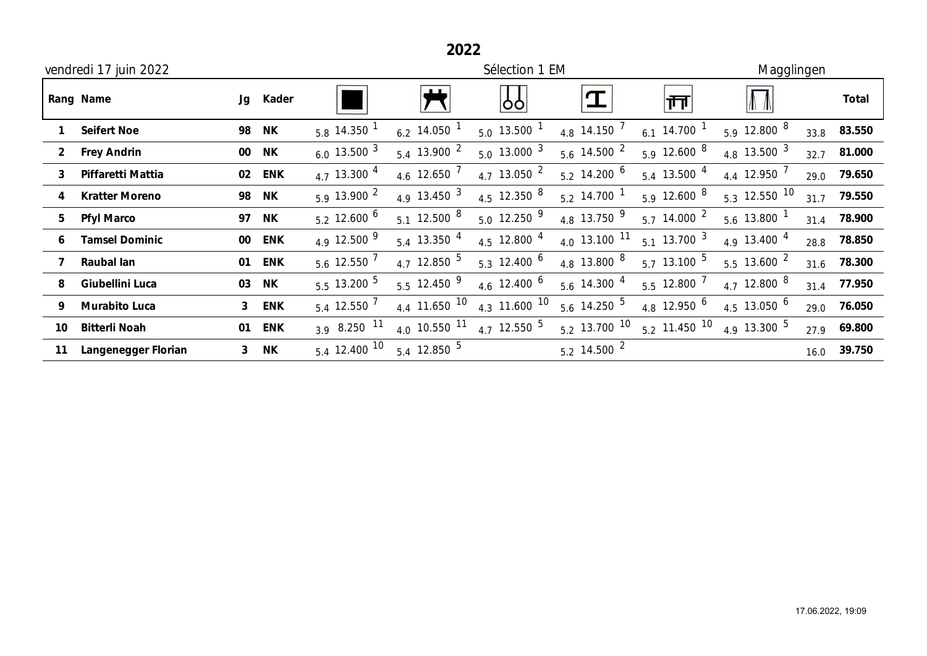| 2022                  |                       |                |            |                      |                     |                           |                           |                          |                           |      |        |
|-----------------------|-----------------------|----------------|------------|----------------------|---------------------|---------------------------|---------------------------|--------------------------|---------------------------|------|--------|
| vendredi 17 juin 2022 |                       |                |            |                      | Sélection 1 EM      |                           |                           |                          | Magglingen                |      |        |
|                       | Rang Name             |                | Jg Kader   |                      |                     | 99                        |                           | ∣क्त                     | $\mathbb{A}$ $\mathbb{A}$ |      | Total  |
|                       | <b>Seifert Noe</b>    | 98             | <b>NK</b>  | $5.8$ 14.350 $^{-1}$ | 6.2 14.050 $^1$     | $5.0$ 13.500 $^1$         | 4.8 14.150 $^7$           | 6.1 14.700 $^1$          | 5.9 12.800 $8$            | 33.8 | 83.550 |
| $\overline{2}$        | <b>Frey Andrin</b>    |                | 00 NK      | 6.0 13.500 $^3$      | $5.4$ 13.900 $^2$   | $5.0 \, 13.000 \, 3$      | $5.6$ 14.500 $^2$         | 5.9 12.600 $8$           | 4.8 13.500 $^3$           | 32.7 | 81.000 |
| 3                     | Piffaretti Mattia     | 02             | <b>ENK</b> | 4.7 13.300 $^{4}$    | 4.6 12.650 $^7$     | 4.7 13.050 $^2$           | $5.2$ 14.200 <sup>6</sup> | $5.4$ 13.500 $^{4}$      | 4.4 12.950 $^7$           | 29.0 | 79.650 |
|                       | <b>Kratter Moreno</b> | 98             | ΝK         | 5.913.9002           | 4.9 13.450 $3$      | 4.5 12.350 $8$            | $5.2$ 14.700 <sup>1</sup> | 5.9 12.600 $8$           | $5.3$ 12.550 10           | 31.7 | 79.550 |
| 5                     | <b>Pfyl Marco</b>     |                | 97 NK      | $5.2 \, 12.600 \, 6$ | $5.1$ 12.500 $^8$   | $5.0$ 12.250 $9$          | 4.8 13.750 $9$            | $5.7 \frac{14.000}{ }$ 2 | $5.6$ 13.800 $^1$         | 31.4 | 78.900 |
|                       | <b>Tamsel Dominic</b> |                | 00 ENK     | 4.9 12.500 $^{9}$    | $5.4$ 13.350 $^{4}$ | $4.5$ 12.800 $^{4}$       | $4.0$ 13.100 $11$         | $5.1 \, 13.700 \, 3$     | 4.9 13.400 $^{4}$         | 28.8 | 78.850 |
|                       | Raubal lan            |                | 01 ENK     | $5.6$ 12.550 $^7$    | 4.7 12.850 $^5$     | $5.3$ 12.400 <sup>6</sup> | 4.8 13.800 $^8$           | $5.7$ 13.100 $^5$        | $5.5$ 13.600 <sup>2</sup> | 31.6 | 78.300 |
| 8                     | Giubellini Luca       | 03             | <b>NK</b>  | $5.5$ 13.200 $^5$    | $5.5$ 12.450 $^{9}$ | 4.6 12.400 $^6$           | $5.6$ 14.300 $^{4}$       | $5.5$ 12.800 $^7$        | 4.7 12.800 $^8$           | 31.4 | 77.950 |
| 9                     | Murabito Luca         | $\mathbf{3}$   | <b>ENK</b> | $5.4$ 12.550 $^7$    | 4.4 11.650 $10$     | 4.3 11.600 $10$           | $5.6$ 14.250 $^5$         | 4.8 12.950 $^6$          | 4.5 13.050 $^6$           | 29.0 | 76.050 |
| 10                    | <b>Bitterli Noah</b>  | 01             | <b>ENK</b> | 3.9 8.250 $11$       | 4.0 10.550 $11$     | 4.7 12.550 $^5$           | $5.2$ 13.700 10           | $5.2$ 11.450 $10$        | 4.9 13.300 $^5$           | 27.9 | 69.800 |
| 11                    | Langenegger Florian   | 3 <sup>1</sup> | <b>NK</b>  | $5.4$ 12.400 10      | $5.4$ 12.850 $^5$   |                           | $5.2$ 14.500 $^2$         |                          |                           | 16.0 | 39.750 |